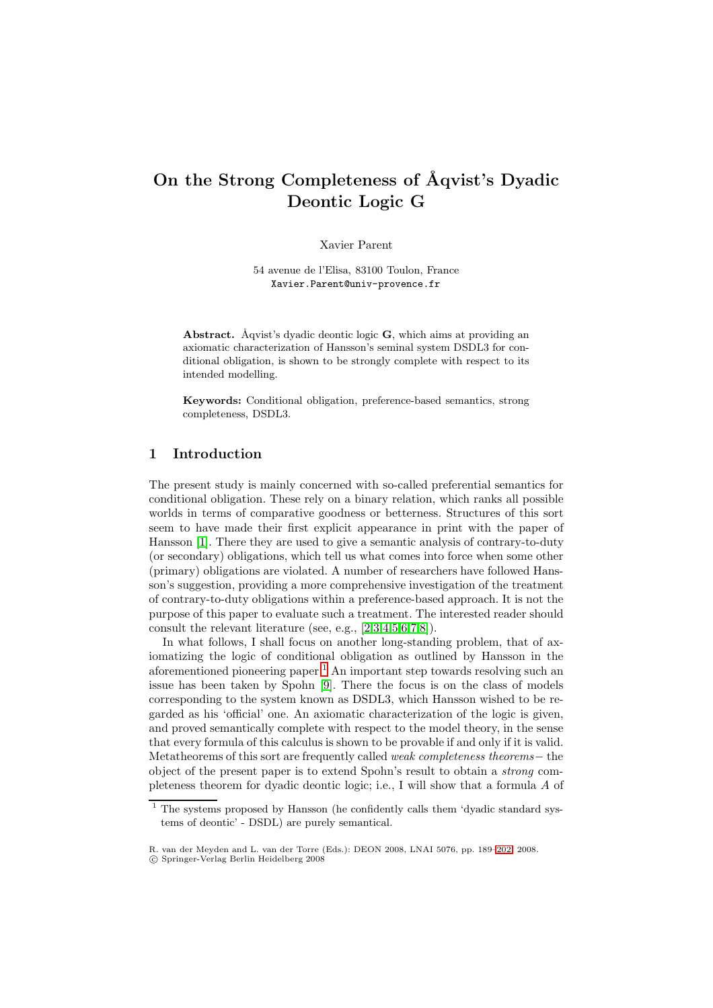# **On the Strong Completeness of ˚Aqvist's Dyadic Deontic Logic G**

Xavier Parent

54 avenue de l'Elisa, 83100 Toulon, France Xavier.Parent@univ-provence.fr

**Abstract.** Åqvist's dyadic deontic logic **G**, which aims at providing an axiomatic characterization of Hansson's seminal system DSDL3 for conditional obligation, is shown to be strongly complete with respect to its intended modelling.

**Keywords:** Conditional obligation, preference-based semantics, strong completeness, DSDL3.

# **1 Introduction**

The present study is mainly concerned with so-called preferential semantics for conditional obligation. These rely on a binary relation, which ranks all possible worlds in terms of comparative goodness or betterness. Structures of this sort seem to have made their first explicit appearance in print with the paper of Hansson [\[1\]](#page-12-0). There they are used to give a semantic analysis of contrary-to-duty (or secondary) obligations, which tell us what comes into force when some other (primary) obligations are violated. A number of researchers have followed Hansson's suggestion, providing a more comprehensive investigation of the treatment of contrary-to-duty obligations within a preference-based approach. It is not the purpose of this paper to evaluate such a treatment. The interested reader should consult the relevant literature (see, e.g., [\[2,](#page-12-1)[3](#page-12-2)[,4](#page-12-3)[,5](#page-12-4)[,6,](#page-12-5)[7](#page-13-0)[,8\]](#page-13-1)).

In what follows, I shall focus on another long-standing problem, that of axiomatizing the logic of conditional obligation as outlined by Hansson in the aforementioned pioneering paper.[1](#page-0-0) An important step towards resolving such an issue has been taken by Spohn [\[9\]](#page-13-2). There the focus is on the class of models corresponding to the system known as DSDL3, which Hansson wished to be regarded as his 'official' one. An axiomatic characterization of the logic is given, and proved semantically complete with respect to the model theory, in the sense that every formula of this calculus is shown to be provable if and only if it is valid. Metatheorems of this sort are frequently called weak completeness theorems− the object of the present paper is to extend Spohn's result to obtain a strong completeness theorem for dyadic deontic logic; i.e., I will show that a formula A of

<sup>1</sup> The systems proposed by Hansson (he confidently calls them 'dyadic standard systems of deontic' - DSDL) are purely semantical.

<span id="page-0-0"></span>R. van der Meyden and L. van der Torre (Eds.): DEON 2008, LNAI 5076, pp. 189[–202,](#page-12-6) 2008.

<sup>-</sup>c Springer-Verlag Berlin Heidelberg 2008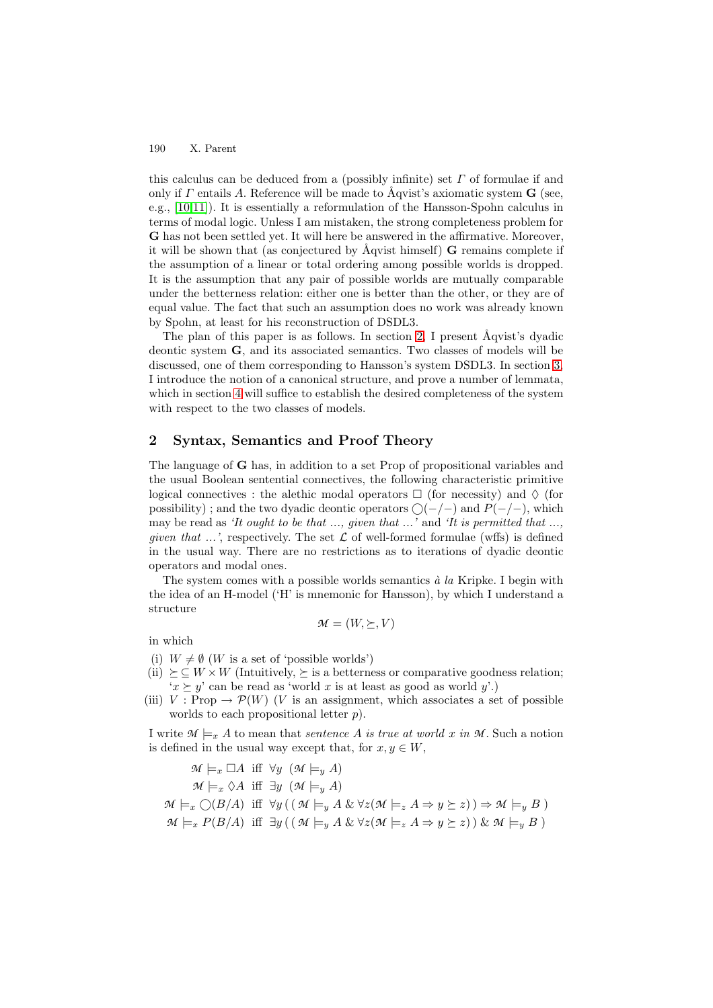this calculus can be deduced from a (possibly infinite) set  $\Gamma$  of formulae if and only if  $\Gamma$  entails A. Reference will be made to  $\tilde{A}$ qvist's axiomatic system **G** (see, e.g., [\[10](#page-13-3)[,11\]](#page-13-4)). It is essentially a reformulation of the Hansson-Spohn calculus in terms of modal logic. Unless I am mistaken, the strong completeness problem for **G** has not been settled yet. It will here be answered in the affirmative. Moreover, it will be shown that (as conjectured by Aqvist himself) **G** remains complete if the assumption of a linear or total ordering among possible worlds is dropped. It is the assumption that any pair of possible worlds are mutually comparable under the betterness relation: either one is better than the other, or they are of equal value. The fact that such an assumption does no work was already known by Spohn, at least for his reconstruction of DSDL3.

The plan of this paper is as follows. In section [2,](#page-1-0) I present  $\hat{A}$ qvist's dyadic deontic system **G**, and its associated semantics. Two classes of models will be discussed, one of them corresponding to Hansson's system DSDL3. In section [3,](#page-6-0) I introduce the notion of a canonical structure, and prove a number of lemmata, which in section [4](#page-10-0) will suffice to establish the desired completeness of the system with respect to the two classes of models.

## <span id="page-1-0"></span>**2 Syntax, Semantics and Proof Theory**

The language of **G** has, in addition to a set Prop of propositional variables and the usual Boolean sentential connectives, the following characteristic primitive logical connectives : the alethic modal operators  $\Box$  (for necessity) and  $\Diamond$  (for possibility); and the two dyadic deontic operators  $\bigcirc (-/-)$  and  $P(-/-)$ , which may be read as 'It ought to be that ..., given that ...' and 'It is permitted that ..., given that  $\ldots$ , respectively. The set  $\mathcal L$  of well-formed formulae (wffs) is defined in the usual way. There are no restrictions as to iterations of dyadic deontic operators and modal ones.

The system comes with a possible worlds semantics  $\dot{a}$  la Kripke. I begin with the idea of an H-model ('H' is mnemonic for Hansson), by which I understand a structure

$$
\mathcal{M} = (W, \succeq, V)
$$

in which

- (i)  $W \neq \emptyset$  (*W* is a set of 'possible worlds')
- (ii)  $\succeq \subseteq W \times W$  (Intuitively,  $\succeq$  is a betterness or comparative goodness relation;  $x \succ y'$  can be read as 'world x is at least as good as world y'.)
- (iii)  $V : \text{Prop} \to \mathcal{P}(W)$  (*V* is an assignment, which associates a set of possible worlds to each propositional letter  $p$ ).

I write  $\mathcal{M} \models_x A$  to mean that *sentence* A is true at world x in M. Such a notion is defined in the usual way except that, for  $x, y \in W$ ,

 $\mathcal{M} \models_x \Box A$  iff  $\forall y \ (\mathcal{M} \models_y A)$  $\mathcal{M} \models_x \Diamond A$  iff  $\exists y \ (\mathcal{M} \models_y A)$  $\mathcal{M} \models_x \bigcirc (B/A)$  iff  $\forall y ((\mathcal{M} \models_y A \& \forall z (\mathcal{M} \models_z A \Rightarrow y \succeq z)) \Rightarrow \mathcal{M} \models_y B)$  $\mathcal{M} \models_x P(B/A)$  iff  $\exists y \left( ( \mathcal{M} \models_y A \& \forall z (\mathcal{M} \models_z A \Rightarrow y \succeq z) ) \& \mathcal{M} \models_y B \right)$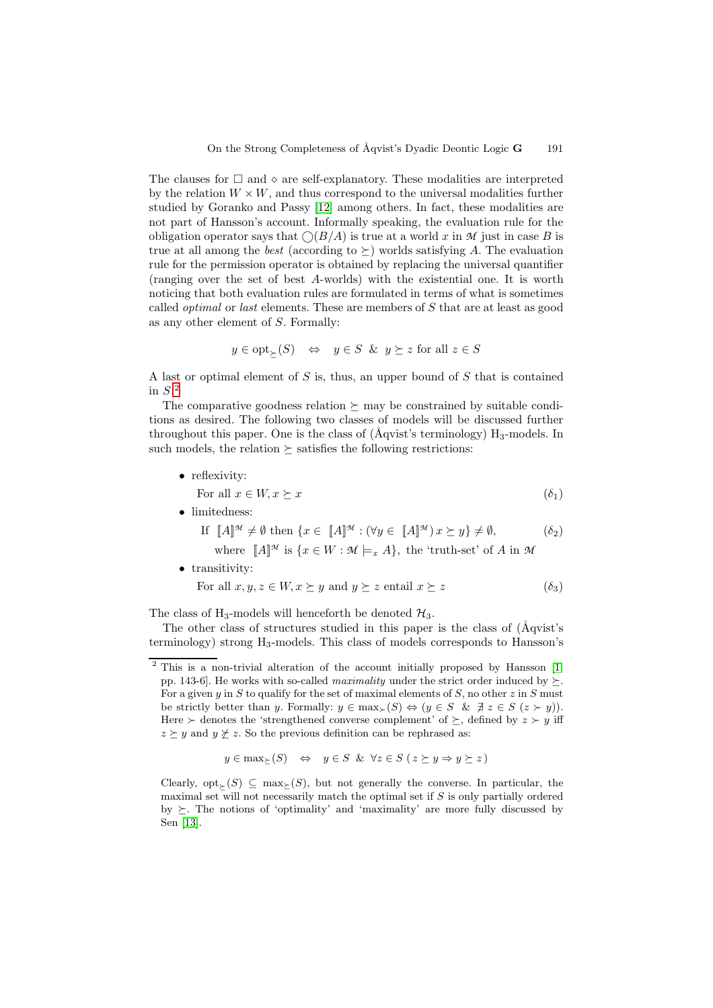The clauses for  $\Box$  and  $\diamond$  are self-explanatory. These modalities are interpreted by the relation  $W \times W$ , and thus correspond to the universal modalities further studied by Goranko and Passy [\[12\]](#page-13-5) among others. In fact, these modalities are not part of Hansson's account. Informally speaking, the evaluation rule for the obligation operator says that  $\bigcirc(B/A)$  is true at a world x in M just in case B is true at all among the *best* (according to  $\succeq$ ) worlds satisfying A. The evaluation rule for the permission operator is obtained by replacing the universal quantifier (ranging over the set of best A-worlds) with the existential one. It is worth noticing that both evaluation rules are formulated in terms of what is sometimes called optimal or last elements. These are members of S that are at least as good as any other element of S. Formally:

$$
y \in \text{opt}_{\succeq}(S) \quad \Leftrightarrow \quad y \in S \ \& \ y \succeq z \text{ for all } z \in S
$$

A last or optimal element of  $S$  is, thus, an upper bound of  $S$  that is contained in  $S^2$  $S^2$ 

The comparative goodness relation  $\succeq$  may be constrained by suitable conditions as desired. The following two classes of models will be discussed further throughout this paper. One is the class of  $(Aqvist's \ term inology) H<sub>3</sub>-models. In$ such models, the relation  $\succeq$  satisfies the following restrictions:

• reflexivity:

For all 
$$
x \in W, x \succeq x
$$
  $(\delta_1)$ 

• limitedness:

$$
\text{If } [A]^{\mathcal{M}} \neq \emptyset \text{ then } \{x \in [A]^{\mathcal{M}} : (\forall y \in [A]^{\mathcal{M}}) x \succeq y\} \neq \emptyset, \tag{62}
$$

where  $\llbracket A \rrbracket^{\mathcal{M}}$  is  $\{x \in W : \mathcal{M} \models_x A\}$ , the 'truth-set' of A in  $\mathcal{M}$ 

• transitivity:

For all 
$$
x, y, z \in W, x \succeq y
$$
 and  $y \succeq z$  entail  $x \succeq z$  (  $\delta_3$ )

The class of H<sub>3</sub>-models will henceforth be denoted  $\mathcal{H}_3$ .

The other class of structures studied in this paper is the class of ( $\AA$ qvist's terminology) strong H3-models. This class of models corresponds to Hansson's

$$
y \in \max_{\geq}(S) \quad \Leftrightarrow \quad y \in S \ \& \ \forall z \in S \ (z \succeq y \Rightarrow y \succeq z)
$$

Clearly, opt $(S) \subseteq \max(S)$ , but not generally the converse. In particular, the maximal set will not necessarily match the optimal set if  $S$  is only partially ordered by  $\succeq$ . The notions of 'optimality' and 'maximality' are more fully discussed by Sen [\[13\]](#page-13-6).

<span id="page-2-0"></span> $2$  This is a non-trivial alteration of the account initially proposed by Hansson [\[1,](#page-12-0) pp. 143-6. He works with so-called *maximality* under the strict order induced by  $\succeq$ . For a given y in S to qualify for the set of maximal elements of S, no other  $z$  in S must be strictly better than y. Formally:  $y \in \max_{\succ} (S) \Leftrightarrow (y \in S \& \exists z \in S (z \succ y)).$ Here  $\succ$  denotes the 'strengthened converse complement' of  $\succeq$ , defined by  $z \succ y$  iff  $z \geq y$  and  $y \not\geq z$ . So the previous definition can be rephrased as: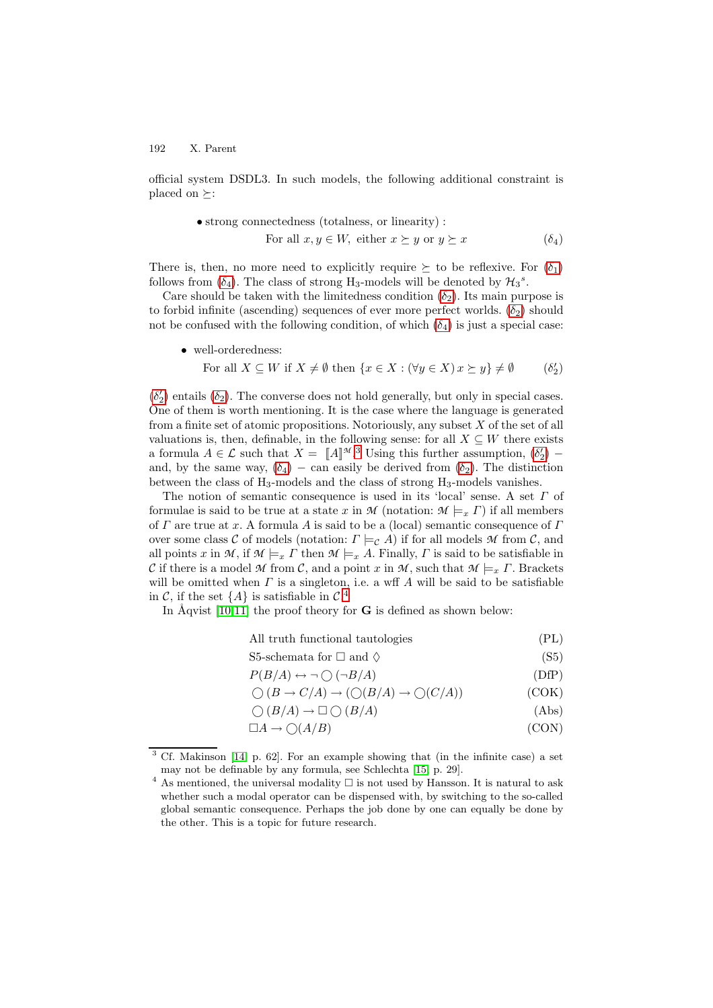official system DSDL3. In such models, the following additional constraint is placed on  $\succeq$ :

• strong connectedness (totalness, or linearity):  
For all 
$$
x, y \in W
$$
, either  $x \succeq y$  or  $y \succeq x$  (  $\delta_4$ )

There is, then, no more need to explicitly require  $\succeq$  to be reflexive. For  $(\delta_1)$ follows from  $(\delta_4)$ . The class of strong H<sub>3</sub>-models will be denoted by  $\mathcal{H}_3^s$ .

Care should be taken with the limitedness condition  $(\delta_2)$ . Its main purpose is to forbid infinite (ascending) sequences of ever more perfect worlds.  $(\delta_2)$  should not be confused with the following condition, of which  $(\delta_4)$  is just a special case:

• well-orderedness:

For all 
$$
X \subseteq W
$$
 if  $X \neq \emptyset$  then  $\{x \in X : (\forall y \in X) x \succeq y\} \neq \emptyset$  (  $\delta_2'$ )

 $(\delta_2)$  entails  $(\delta_2)$ . The converse does not hold generally, but only in special cases. One of them is worth mentioning. It is the case where the language is generated from a finite set of atomic propositions. Notoriously, any subset  $X$  of the set of all valuations is, then, definable, in the following sense: for all  $X \subseteq W$  there exists a formula  $A \in \mathcal{L}$  such that  $X = [A]^{\mathcal{M}, 3}$  $X = [A]^{\mathcal{M}, 3}$  $X = [A]^{\mathcal{M}, 3}$  Using this further assumption,  $(\delta_2')$  – and, by the same way,  $(\delta_4)$  – can easily be derived from  $(\delta_2)$ . The distinction between the class of  $H_3$ -models and the class of strong  $H_3$ -models vanishes.

The notion of semantic consequence is used in its 'local' sense. A set Γ of formulae is said to be true at a state x in  $M$  (notation:  $M \models_x \Gamma$ ) if all members of  $\Gamma$  are true at x. A formula A is said to be a (local) semantic consequence of  $\Gamma$ over some class C of models (notation:  $\Gamma \models_{\mathcal{C}} A$ ) if for all models M from C, and all points x in M, if  $M \models_x \Gamma$  then  $M \models_x A$ . Finally,  $\Gamma$  is said to be satisfiable in C if there is a model M from C, and a point x in M, such that  $\mathcal{M} \models_x \Gamma$ . Brackets will be omitted when  $\Gamma$  is a singleton, i.e. a wff  $A$  will be said to be satisfiable in C, if the set  $\{A\}$  is satisfiable in  $\mathcal{C}^A$ .

In  $\tilde{A}$ qvist [\[10](#page-13-3)[,11\]](#page-13-4) the proof theory for **G** is defined as shown below:

All truth functional tautologies (PL)

S5-schemata for  $\Box$  and  $\Diamond$  (S5)

$$
P(B/A) \leftrightarrow \neg \bigcirc (\neg B/A) \tag{DfP}
$$

$$
\bigcirc (B \to C/A) \to (\bigcirc (B/A) \to \bigcirc (C/A))
$$
 (COK)

$$
\bigcirc (B/A) \to \Box \bigcirc (B/A) \tag{Abs}
$$

$$
\Box A \to \bigcirc (A/B) \tag{CON}
$$

<span id="page-3-0"></span>Cf. Makinson  $[14, p. 62]$  $[14, p. 62]$ . For an example showing that (in the infinite case) a set may not be definable by any formula, see Schlechta [\[15,](#page-13-8) p. 29].

<span id="page-3-1"></span> $^4$  As mentioned, the universal modality  $\Box$  is not used by Hansson. It is natural to ask whether such a modal operator can be dispensed with, by switching to the so-called global semantic consequence. Perhaps the job done by one can equally be done by the other. This is a topic for future research.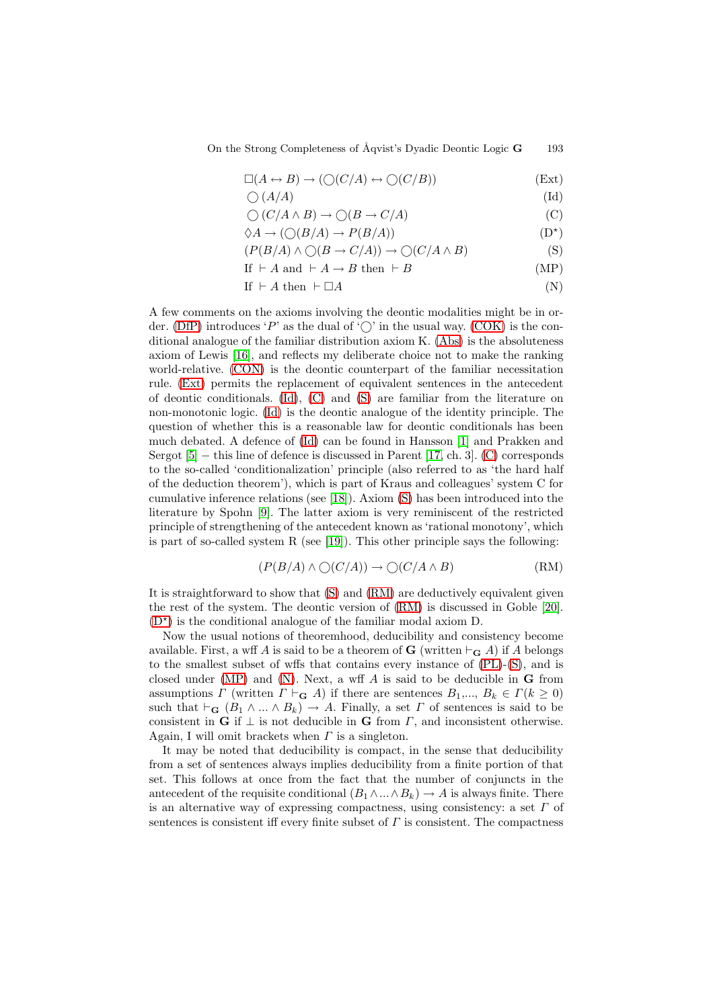On the Strong Completeness of Åqvist's Dyadic Deontic Logic **G** 193

$$
\Box(A \leftrightarrow B) \to (\bigcirc (C/A) \leftrightarrow \bigcirc (C/B))
$$
 (Ext)

$$
\bigcirc (A/A) \tag{Id}
$$

$$
\bigcirc (C/A \wedge B) \to \bigcirc (B \to C/A) \tag{C}
$$
\n
$$
\wedge A \to (\bigcirc (B/A) \to B(B/A)) \tag{D*}
$$

$$
\Diamond A \to (\bigcirc (B/A) \to P(B/A))
$$
 (D<sup>\*</sup>)

$$
(P(B/A) \land \bigcirc (B \to C/A)) \to \bigcirc (C/A \land B)
$$
 (S)

If 
$$
\vdash A
$$
 and  $\vdash A \rightarrow B$  then  $\vdash B$  (MP)  
If  $\vdash A$  then  $\vdash \Box A$  (N)

$$
If \vdash A \text{ then } \vdash \Box A \tag{N}
$$

A few comments on the axioms involving the deontic modalities might be in or-der. [\(DfP\)](#page-1-0) introduces 'P' as the dual of ' $\bigcirc$ ' in the usual way. [\(COK\)](#page-1-0) is the conditional analogue of the familiar distribution axiom K. [\(Abs\)](#page-1-0) is the absoluteness axiom of Lewis [\[16\]](#page-13-9), and reflects my deliberate choice not to make the ranking world-relative. [\(CON\)](#page-1-0) is the deontic counterpart of the familiar necessitation rule. [\(Ext\)](#page-1-0) permits the replacement of equivalent sentences in the antecedent of deontic conditionals. [\(Id\)](#page-1-0), [\(C\)](#page-1-0) and [\(S\)](#page-1-0) are familiar from the literature on non-monotonic logic. [\(Id\)](#page-1-0) is the deontic analogue of the identity principle. The question of whether this is a reasonable law for deontic conditionals has been much debated. A defence of [\(Id\)](#page-1-0) can be found in Hansson [\[1\]](#page-12-0) and Prakken and Sergot [\[5\]](#page-12-4) − this line of defence is discussed in Parent [\[17,](#page-13-10) ch. 3]. [\(C\)](#page-1-0) corresponds to the so-called 'conditionalization' principle (also referred to as 'the hard half of the deduction theorem'), which is part of Kraus and colleagues' system C for cumulative inference relations (see [\[18\]](#page-13-11)). Axiom [\(S\)](#page-1-0) has been introduced into the literature by Spohn [\[9\]](#page-13-2). The latter axiom is very reminiscent of the restricted principle of strengthening of the antecedent known as 'rational monotony', which is part of so-called system R (see [\[19\]](#page-13-12)). This other principle says the following:

$$
(P(B/A) \land \bigcirc (C/A)) \to \bigcirc (C/A \land B) \tag{RM}
$$

It is straightforward to show that [\(S\)](#page-1-0) and [\(RM\)](#page-1-0) are deductively equivalent given the rest of the system. The deontic version of [\(RM\)](#page-1-0) is discussed in Goble [\[20\]](#page-13-13).  $(D^{\star})$  $(D^{\star})$  is the conditional analogue of the familiar modal axiom D.

Now the usual notions of theoremhood, deducibility and consistency become available. First, a wff A is said to be a theorem of **G** (written  $\vdash_{\mathbf{G}} A$ ) if A belongs to the smallest subset of wffs that contains every instance of [\(PL\)](#page-1-0)-[\(S\)](#page-1-0), and is closed under [\(MP\)](#page-1-0) and [\(N\)](#page-1-0). Next, a wff A is said to be deducible in **G** from assumptions  $\Gamma$  (written  $\Gamma \vdash_{\mathbf{G}} A$ ) if there are sentences  $B_1, ..., B_k \in \Gamma(k \geq 0)$ such that  $\vdash_{\mathbf{G}} (B_1 \land ... \land B_k) \rightarrow A$ . Finally, a set  $\Gamma$  of sentences is said to be consistent in **G** if  $\perp$  is not deducible in **G** from  $\Gamma$ , and inconsistent otherwise. Again, I will omit brackets when  $\Gamma$  is a singleton.

It may be noted that deducibility is compact, in the sense that deducibility from a set of sentences always implies deducibility from a finite portion of that set. This follows at once from the fact that the number of conjuncts in the antecedent of the requisite conditional  $(B_1 \wedge ... \wedge B_k) \rightarrow A$  is always finite. There is an alternative way of expressing compactness, using consistency: a set  $\Gamma$  of sentences is consistent iff every finite subset of  $\Gamma$  is consistent. The compactness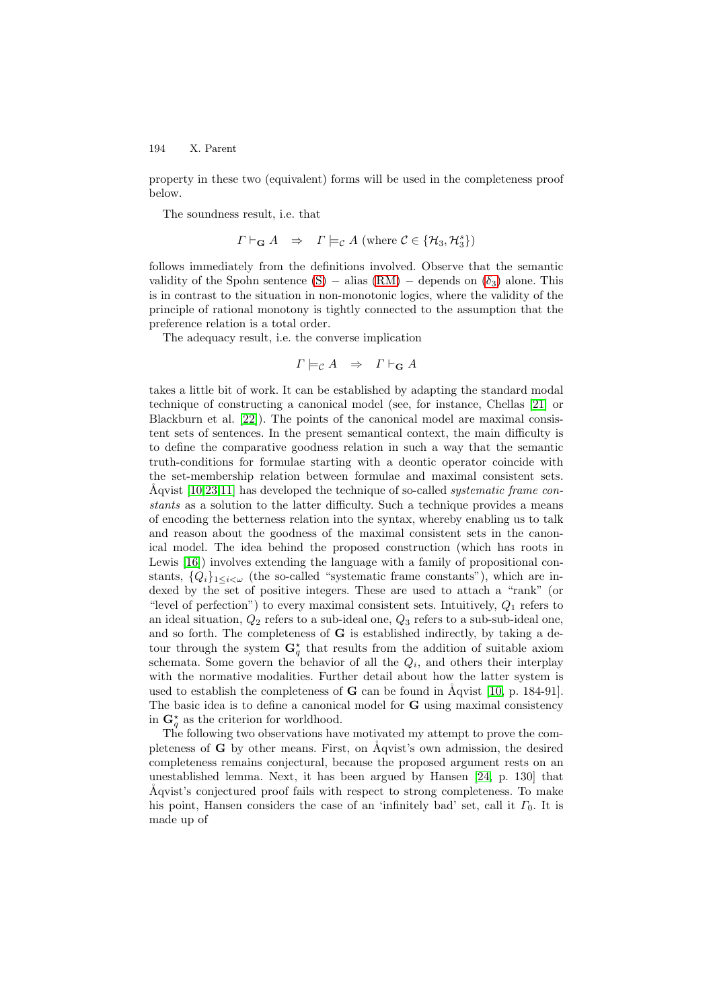property in these two (equivalent) forms will be used in the completeness proof below.

The soundness result, i.e. that

$$
\Gamma \vdash_{\mathbf{G}} A \quad \Rightarrow \quad \Gamma \models_{\mathcal{C}} A \text{ (where } \mathcal{C} \in \{\mathcal{H}_3, \mathcal{H}_3^s\})
$$

follows immediately from the definitions involved. Observe that the semantic validity of the Spohn sentence [\(S\)](#page-1-0) – alias  $(RM)$  – depends on  $(\delta_3)$  alone. This is in contrast to the situation in non-monotonic logics, where the validity of the principle of rational monotony is tightly connected to the assumption that the preference relation is a total order.

The adequacy result, i.e. the converse implication

$$
\Gamma \models_{\mathcal{C}} A \quad \Rightarrow \quad \Gamma \vdash_{\mathbf{G}} A
$$

takes a little bit of work. It can be established by adapting the standard modal technique of constructing a canonical model (see, for instance, Chellas [\[21\]](#page-13-14) or Blackburn et al. [\[22\]](#page-13-15)). The points of the canonical model are maximal consistent sets of sentences. In the present semantical context, the main difficulty is to define the comparative goodness relation in such a way that the semantic truth-conditions for formulae starting with a deontic operator coincide with the set-membership relation between formulae and maximal consistent sets. Åqvist  $[10,23,11]$  $[10,23,11]$  $[10,23,11]$  has developed the technique of so-called *systematic frame con*stants as a solution to the latter difficulty. Such a technique provides a means of encoding the betterness relation into the syntax, whereby enabling us to talk and reason about the goodness of the maximal consistent sets in the canonical model. The idea behind the proposed construction (which has roots in Lewis [\[16\]](#page-13-9)) involves extending the language with a family of propositional constants,  $\{Q_i\}_{1\leq i\leq \omega}$  (the so-called "systematic frame constants"), which are indexed by the set of positive integers. These are used to attach a "rank" (or "level of perfection") to every maximal consistent sets. Intuitively,  $Q_1$  refers to an ideal situation,  $Q_2$  refers to a sub-ideal one,  $Q_3$  refers to a sub-sub-ideal one, and so forth. The completeness of **G** is established indirectly, by taking a detour through the system  $\mathbf{G}_q^*$  that results from the addition of suitable axiom schemata. Some govern the behavior of all the  $Q_i$ , and others their interplay with the normative modalities. Further detail about how the latter system is used to establish the completeness of  $G$  can be found in  $\tilde{A}$ qvist [\[10,](#page-13-3) p. 184-91]. The basic idea is to define a canonical model for **G** using maximal consistency in  $\mathbf{G}_q^*$  as the criterion for worldhood.

The following two observations have motivated my attempt to prove the completeness of  $\bf{G}$  by other means. First, on  $\bf{A}$ qvist's own admission, the desired completeness remains conjectural, because the proposed argument rests on an unestablished lemma. Next, it has been argued by Hansen [\[24,](#page-13-17) p. 130] that Åqvist's conjectured proof fails with respect to strong completeness. To make his point, Hansen considers the case of an 'infinitely bad' set, call it  $\Gamma_0$ . It is made up of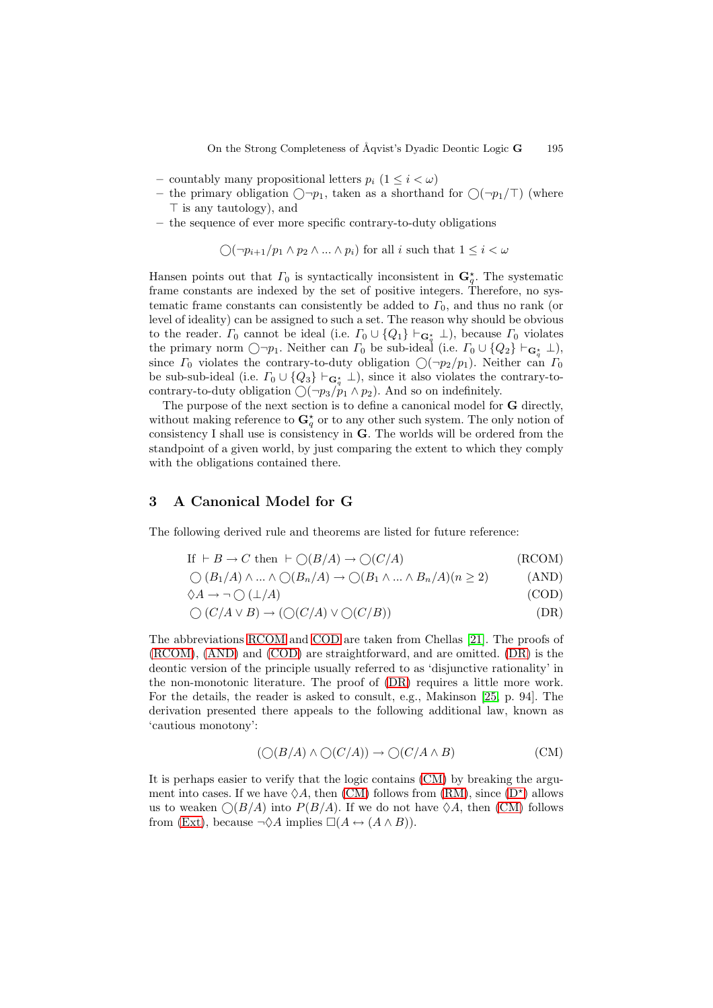- countably many propositional letters  $p_i$   $(1 \leq i \leq \omega)$
- the primary obligation  $\bigcirc$ - $p_1$ , taken as a shorthand for  $\bigcirc$  $(\neg p_1/\top)$  (where  $\top$  is any tautology), and
- **–** the sequence of ever more specific contrary-to-duty obligations

$$
\bigcirc (\neg p_{i+1}/p_1 \land p_2 \land \dots \land p_i) \text{ for all } i \text{ such that } 1 \leq i < \omega
$$

Hansen points out that  $\Gamma_0$  is syntactically inconsistent in  $\mathbf{G}_q^*$ . The systematic frame constants are indexed by the set of positive integers. Therefore, no systematic frame constants can consistently be added to  $\Gamma_0$ , and thus no rank (or level of ideality) can be assigned to such a set. The reason why should be obvious to the reader.  $\Gamma_0$  cannot be ideal (i.e.  $\Gamma_0 \cup \{Q_1\} \vdash_{\mathbf{G}_q^*} \bot$ ), because  $\Gamma_0$  violates the primary norm  $\bigcirc \neg p_1$ . Neither can  $\Gamma_0$  be sub-ideal (i.e.  $\Gamma_0 \cup \{Q_2\} \vdash_{\mathbf{G}_q^*} \bot$ ), since  $\Gamma_0$  violates the contrary-to-duty obligation  $\bigcirc (\neg p_2/p_1)$ . Neither can  $\Gamma_0$ be sub-sub-ideal (i.e.  $\Gamma_0 \cup \{Q_3\} \vdash_{\mathbf{G}_q^*} \bot$ ), since it also violates the contrary-tocontrary-to-duty obligation  $\bigcirc(\neg p_3/p_1 \land p_2)$ . And so on indefinitely.

The purpose of the next section is to define a canonical model for **G** directly, without making reference to  $\mathbf{G}_q^*$  or to any other such system. The only notion of consistency I shall use is consistency in **G**. The worlds will be ordered from the standpoint of a given world, by just comparing the extent to which they comply with the obligations contained there.

## <span id="page-6-0"></span>**3 A Canonical Model for G**

The following derived rule and theorems are listed for future reference:

If 
$$
\vdash B \to C
$$
 then  $\vdash \bigcirc(B/A) \to \bigcirc(C/A)$  (RCOM)

$$
\bigcirc (B_1/A) \land \dots \land \bigcirc (B_n/A) \to \bigcirc (B_1 \land \dots \land B_n/A)(n \ge 2)
$$
 (AND)

$$
\Diamond A \to \neg \bigcirc (\bot/A) \tag{COD}
$$

$$
\bigcirc (C/A \lor B) \to (\bigcirc (C/A) \lor \bigcirc (C/B))
$$
 (DR)

The abbreviations [RCOM](#page-6-0) and [COD](#page-6-0) are taken from Chellas [\[21\]](#page-13-14). The proofs of [\(RCOM\)](#page-6-0), [\(AND\)](#page-6-0) and [\(COD\)](#page-6-0) are straightforward, and are omitted. [\(DR\)](#page-6-0) is the deontic version of the principle usually referred to as 'disjunctive rationality' in the non-monotonic literature. The proof of [\(DR\)](#page-6-0) requires a little more work. For the details, the reader is asked to consult, e.g., Makinson [\[25,](#page-13-18) p. 94]. The derivation presented there appeals to the following additional law, known as 'cautious monotony':

$$
(\bigcirc (B/A) \land \bigcirc (C/A)) \to \bigcirc (C/A \land B) \tag{CM}
$$

<span id="page-6-1"></span>It is perhaps easier to verify that the logic contains [\(CM\)](#page-6-0) by breaking the argument into cases. If we have  $\Diamond A$ , then [\(CM\)](#page-6-0) follows from [\(RM\)](#page-1-0), since [\(D](#page-1-0)<sup>\*</sup>) allows us to weaken  $\bigcirc(B/A)$  into  $P(B/A)$ . If we do not have  $\Diamond A$ , then [\(CM\)](#page-6-0) follows from [\(Ext\)](#page-1-0), because  $\neg \Diamond A$  implies  $\square(A \leftrightarrow (A \land B)).$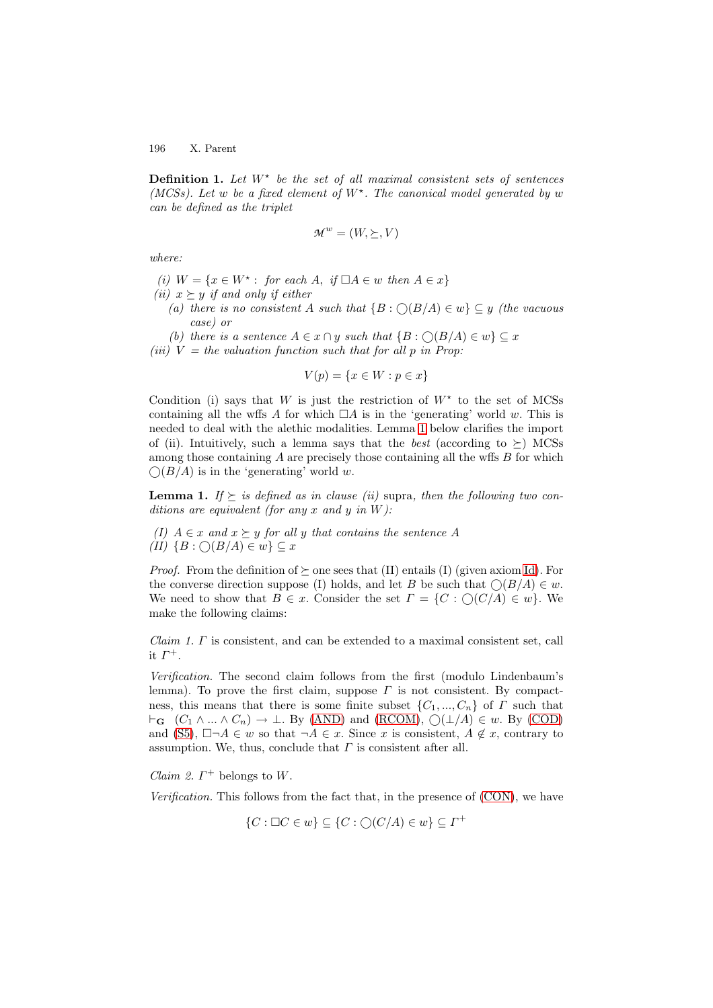**Definition 1.** Let  $W^*$  be the set of all maximal consistent sets of sentences (MCSs). Let w be a fixed element of  $W^*$ . The canonical model generated by w can be defined as the triplet

$$
\mathcal{M}^w=(W,\succeq,V)
$$

where:

- (i)  $W = \{x \in W^* : \text{ for each } A, \text{ if } \Box A \in w \text{ then } A \in x\}$
- (ii)  $x \succeq y$  if and only if either
	- (a) there is no consistent A such that  $\{B : \bigcirc(B/A) \in w\} \subseteq y$  (the vacuous case) or
- (b) there is a sentence  $A \in x \cap y$  such that  $\{B : \bigcirc(B/A) \in w\} \subseteq x$ (iii)  $V =$  the valuation function such that for all p in Prop:

$$
V(p) = \{x \in W : p \in x\}
$$

Condition (i) says that W is just the restriction of  $W^*$  to the set of MCSs containing all the wffs A for which  $\Box A$  is in the 'generating' world w. This is needed to deal with the alethic modalities. Lemma [1](#page-7-0) below clarifies the import of (ii). Intuitively, such a lemma says that the *best* (according to  $\succ$ ) MCSs among those containing  $\tilde{A}$  are precisely those containing all the wffs  $\tilde{B}$  for which  $\bigcirc(B/A)$  is in the 'generating' world w.

<span id="page-7-0"></span>**Lemma 1.** If  $\succeq$  is defined as in clause (ii) supra, then the following two conditions are equivalent (for any x and y in  $W$ ):

(I)  $A \in x$  and  $x \succeq y$  for all y that contains the sentence A  $(II) \{B : \bigcirc(B/A) \in w\} \subseteq x$ 

*Proof.* From the definition of  $\succeq$  one sees that (II) entails (I) (given axiom [Id\)](#page-1-0). For the converse direction suppose (I) holds, and let B be such that  $\bigcirc(B/A) \in w$ . We need to show that  $B \in \mathcal{X}$ . Consider the set  $\Gamma = \{C : \bigcirc (C/A) \in \mathcal{W}\}\)$ . We make the following claims:

 $Claim 1. \Gamma$  is consistent, and can be extended to a maximal consistent set, call it  $\Gamma^+$ .

Verification. The second claim follows from the first (modulo Lindenbaum's lemma). To prove the first claim, suppose  $\Gamma$  is not consistent. By compactness, this means that there is some finite subset  $\{C_1, ..., C_n\}$  of  $\Gamma$  such that  $\vdash_{\mathbf{G}} (C_1 \land ... \land C_n) \rightarrow \bot$ . By [\(AND\)](#page-6-0) and [\(RCOM\)](#page-6-0),  $\bigcirc(\bot/A) \in w$ . By [\(COD\)](#page-6-0) and [\(S5\)](#page-1-0),  $\Box \neg A \in w$  so that  $\neg A \in x$ . Since x is consistent,  $A \notin x$ , contrary to assumption. We, thus, conclude that  $\Gamma$  is consistent after all.

*Claim 2.*  $\Gamma^+$  belongs to W.

Verification. This follows from the fact that, in the presence of [\(CON\)](#page-1-0), we have

 $\{C : \Box C \in w\} \subseteq \{C : \bigcirc(C/A) \in w\} \subseteq \Gamma^+$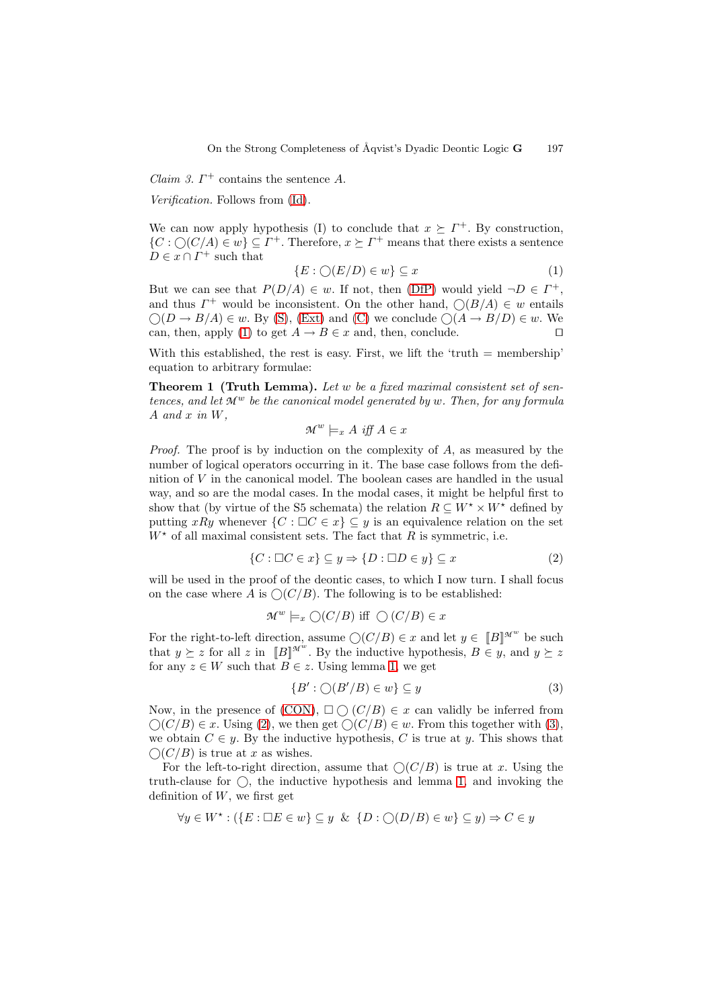*Claim 3.*  $\Gamma^+$  contains the sentence A.

Verification. Follows from [\(Id\)](#page-1-0).

<span id="page-8-0"></span>We can now apply hypothesis (I) to conclude that  $x \succeq \Gamma^+$ . By construction,  $\{C : \bigcirc (C/A) \in w\} \subseteq \Gamma^+$ . Therefore,  $x \succeq \Gamma^+$  means that there exists a sentence  $D \in x \cap I^+$  such that

$$
\{E : \bigcirc(E/D) \in w\} \subseteq x \tag{1}
$$

But we can see that  $P(D/A) \in w$ . If not, then [\(DfP\)](#page-1-0) would yield  $\neg D \in \Gamma^+$ , and thus  $\Gamma^+$  would be inconsistent. On the other hand,  $\bigcirc(B/A) \in w$  entails  $\bigcirc (D \to B/A) \in w$ . By [\(S\)](#page-1-0), [\(Ext\)](#page-1-0) and [\(C\)](#page-1-0) we conclude  $\bigcirc (A \to B/D) \in w$ . We can, then, apply [\(1\)](#page-8-0) to get  $A \to B \in x$  and, then, conclude.

<span id="page-8-3"></span>With this established, the rest is easy. First, we lift the 'truth  $=$  membership' equation to arbitrary formulae:

**Theorem 1 (Truth Lemma).** Let w be a fixed maximal consistent set of sentences, and let  $\mathcal{M}^w$  be the canonical model generated by w. Then, for any formula  $A$  and  $x$  in  $W$ .

$$
\mathcal{M}^w \models_x A \text{ iff } A \in x
$$

Proof. The proof is by induction on the complexity of A, as measured by the number of logical operators occurring in it. The base case follows from the definition of  $V$  in the canonical model. The boolean cases are handled in the usual way, and so are the modal cases. In the modal cases, it might be helpful first to show that (by virtue of the S5 schemata) the relation  $R \subseteq W^* \times W^*$  defined by putting xRy whenever  $\{C : \Box C \in x\} \subseteq y$  is an equivalence relation on the set  $W^*$  of all maximal consistent sets. The fact that R is symmetric, i.e.

$$
\{C : \Box C \in x\} \subseteq y \Rightarrow \{D : \Box D \in y\} \subseteq x \tag{2}
$$

<span id="page-8-1"></span>will be used in the proof of the deontic cases, to which I now turn. I shall focus on the case where A is  $\mathcal{O}(C/B)$ . The following is to be established:

$$
\mathcal{M}^w \models_x \bigcirc (C/B) \text{ iff } \bigcirc (C/B) \in x
$$

For the right-to-left direction, assume  $\bigcirc(C/B) \in x$  and let  $y \in [B]^{\mathcal{M}^w}$  be such that  $y \succeq z$  for all z in  $[[B]]^{\mathcal{M}^{w}}$ . By the inductive hypothesis,  $B \in y$ , and  $y \succeq z$ for any  $z \in W$  such that  $B \in z$ . Using lemma [1,](#page-7-0) we get

<span id="page-8-2"></span>
$$
\{B' : \bigcirc(B'/B) \in w\} \subseteq y \tag{3}
$$

Now, in the presence of  $(CON)$ ,  $\square \bigcirc (C/B) \in x$  can validly be inferred from  $\bigcirc(C/B) \in x$ . Using [\(2\)](#page-8-1), we then get  $\bigcirc(C/B) \in w$ . From this together with [\(3\)](#page-8-2), we obtain  $C \in y$ . By the inductive hypothesis, C is true at y. This shows that  $\bigcirc$ (C/B) is true at x as wishes.

For the left-to-right direction, assume that  $\mathcal{O}(C/B)$  is true at x. Using the truth-clause for  $\bigcirc$ , the inductive hypothesis and lemma [1,](#page-7-0) and invoking the definition of  $W$ , we first get

$$
\forall y \in W^* : (\{E : \Box E \in w\} \subseteq y \& \{D : \bigcirc(D/B) \in w\} \subseteq y) \Rightarrow C \in y
$$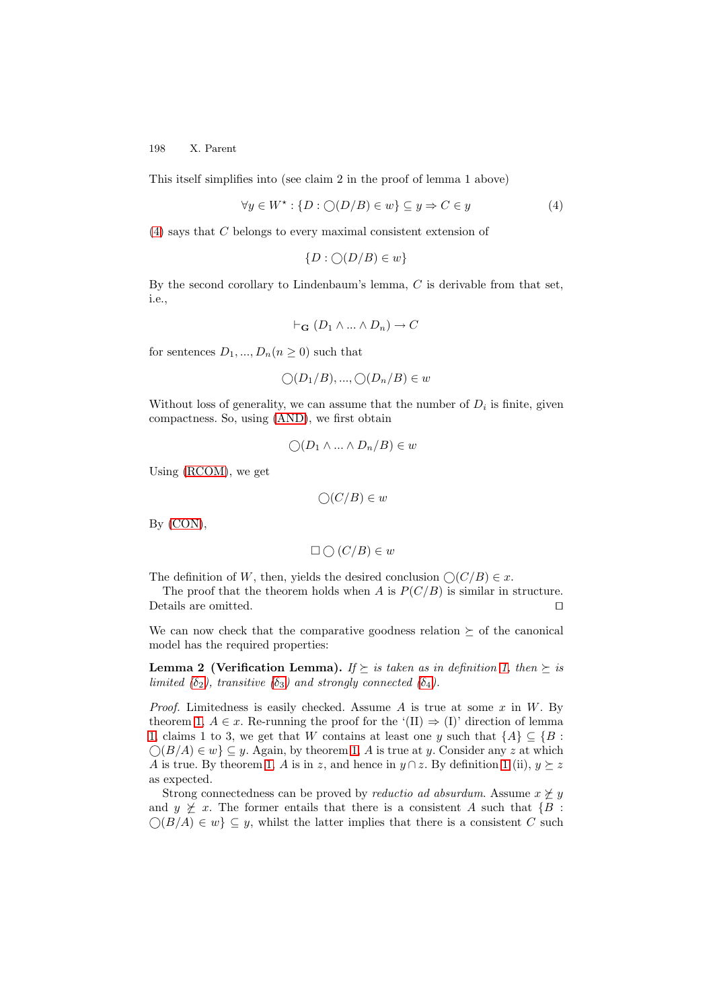This itself simplifies into (see claim 2 in the proof of lemma 1 above)

$$
\forall y \in W^* : \{ D : \bigcirc(D/B) \in w \} \subseteq y \Rightarrow C \in y \tag{4}
$$

[\(4\)](#page-9-0) says that C belongs to every maximal consistent extension of

<span id="page-9-0"></span>
$$
\{D : \bigcirc(D/B) \in w\}
$$

By the second corollary to Lindenbaum's lemma, C is derivable from that set, i.e.,

$$
\vdash_{\mathbf{G}} (D_1 \land \dots \land D_n) \to C
$$

for sentences  $D_1, ..., D_n (n \geq 0)$  such that

$$
\bigcirc (D_1/B), ..., \bigcirc (D_n/B) \in w
$$

Without loss of generality, we can assume that the number of  $D_i$  is finite, given compactness. So, using [\(AND\)](#page-6-0), we first obtain

$$
\bigcirc (D_1 \land \dots \land D_n/B) \in w
$$

Using [\(RCOM\)](#page-6-0), we get

$$
\bigcirc(C/B)\in w
$$

By [\(CON\)](#page-1-0),

$$
\Box \bigcirc (C/B) \in w
$$

The definition of W, then, yields the desired conclusion  $\bigcirc(C/B) \in x$ .

The proof that the theorem holds when A is  $P(C/B)$  is similar in structure. Details are omitted.  $\hfill \square$ 

<span id="page-9-1"></span>We can now check that the comparative goodness relation  $\succeq$  of the canonical model has the required properties:

**Lemma 2 (Verification Lemma).** If  $\succeq$  is taken as in definition [1,](#page-6-1) then  $\succeq$  is limited  $(\delta_2)$ , transitive  $(\delta_3)$  and strongly connected  $(\delta_4)$ .

*Proof.* Limitedness is easily checked. Assume A is true at some  $x$  in  $W$ . By theorem [1,](#page-8-3)  $A \in \mathcal{X}$ . Re-running the proof for the '(II)  $\Rightarrow$  (I)' direction of lemma [1,](#page-7-0) claims 1 to 3, we get that W contains at least one y such that  $\{A\} \subseteq \{B :$  $\bigcirc (B/A) \in w$   $\subseteq y$ . Again, by theorem [1,](#page-8-3) A is true at y. Consider any z at which A is true. By theorem [1,](#page-8-3) A is in z, and hence in  $y \cap z$ . By definition [1](#page-6-1) (ii),  $y \succeq z$ as expected.

Strong connectedness can be proved by *reductio ad absurdum*. Assume  $x \not\geq y$ and  $y \not\geq x$ . The former entails that there is a consistent A such that  $\{B :$  $\bigcirc (B/A) \in w$   $\subseteq y$ , whilst the latter implies that there is a consistent C such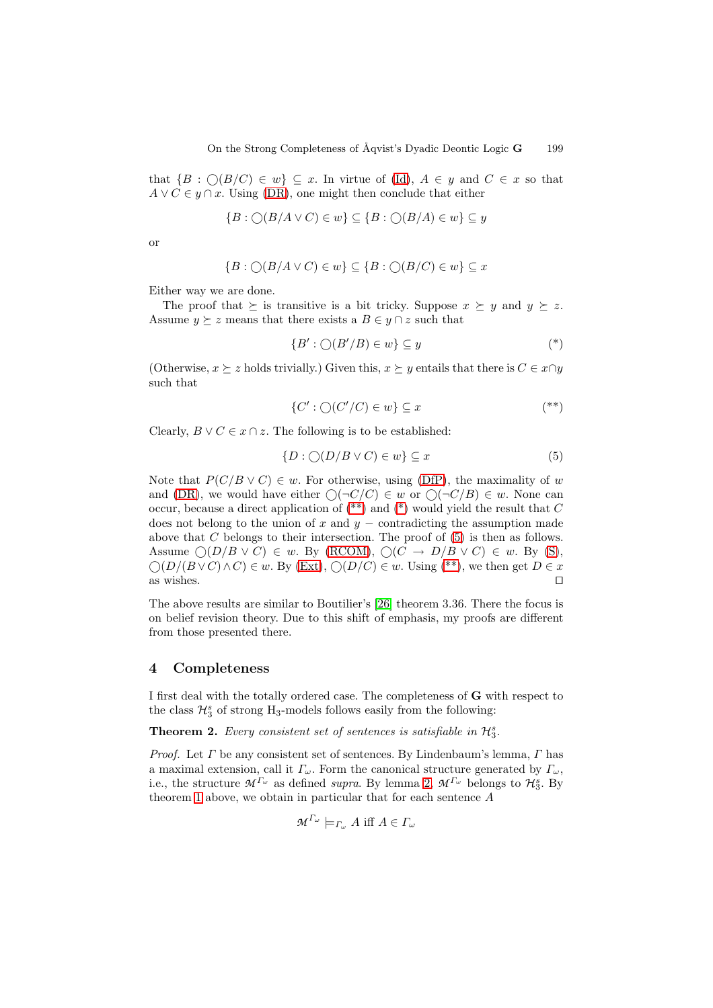that  $\{B : \bigcirc(B/C) \in w\} \subseteq x$ . In virtue of [\(Id\)](#page-1-0),  $A \in y$  and  $C \in x$  so that  $A \vee C \in y \cap x$ . Using [\(DR\)](#page-6-0), one might then conclude that either

$$
\{B : \bigcirc (B/A \vee C) \in w\} \subseteq \{B : \bigcirc (B/A) \in w\} \subseteq y
$$

or

$$
\{B : \bigcirc (B/A \vee C) \in w\} \subseteq \{B : \bigcirc (B/C) \in w\} \subseteq x
$$

Either way we are done.

The proof that  $\succeq$  is transitive is a bit tricky. Suppose  $x \succeq y$  and  $y \succeq z$ . Assume  $y \succeq z$  means that there exists a  $B \in y \cap z$  such that

$$
\{B' : \bigcirc(B'/B) \in w\} \subseteq y \tag{*}
$$

(Otherwise,  $x \succeq z$  holds trivially.) Given this,  $x \succeq y$  entails that there is  $C \in x \cap y$ such that

<span id="page-10-1"></span>
$$
\{C' : \bigcirc(C'/C) \in w\} \subseteq x \tag{**}
$$

Clearly,  $B \vee C \in x \cap z$ . The following is to be established:

$$
\{D : \bigcirc(D/B \lor C) \in w\} \subseteq x \tag{5}
$$

Note that  $P(C/B \vee C) \in w$ . For otherwise, using [\(DfP\)](#page-1-0), the maximality of w and [\(DR\)](#page-6-0), we would have either  $\bigcirc(\neg C/C) \in w$  or  $\bigcirc(\neg C/B) \in w$ . None can occur, because a direct application of  $(**)$  and  $(*)$  would yield the result that C does not belong to the union of  $x$  and  $y$  – contradicting the assumption made above that  $C$  belongs to their intersection. The proof of  $(5)$  is then as follows. Assume  $\bigcirc(D/B \vee C) \in w$ . By [\(RCOM\)](#page-6-0),  $\bigcirc(C \to D/B \vee C) \in w$ . By [\(S\)](#page-1-0),  $\bigcirc(D/(B \vee C) \wedge C) \in w$ . By [\(Ext\)](#page-1-0),  $\bigcirc(D/C) \in w$ . Using [\(\\*\\*\)](#page-9-1), we then get  $D \in x$ as wishes.  $\Box$ 

The above results are similar to Boutilier's [\[26\]](#page-13-19) theorem 3.36. There the focus is on belief revision theory. Due to this shift of emphasis, my proofs are different from those presented there.

#### <span id="page-10-0"></span>**4 Completeness**

I first deal with the totally ordered case. The completeness of **G** with respect to the class  $\mathcal{H}_3^s$  of strong H<sub>3</sub>-models follows easily from the following:

**Theorem 2.** Every consistent set of sentences is satisfiable in  $\mathcal{H}_3^s$ .

*Proof.* Let  $\Gamma$  be any consistent set of sentences. By Lindenbaum's lemma,  $\Gamma$  has a maximal extension, call it  $\Gamma_{\omega}$ . Form the canonical structure generated by  $\Gamma_{\omega}$ , i.e., the structure  $\mathcal{M}^{\Gamma_{\omega}}$  as defined *supra*. By lemma [2,](#page-9-1)  $\mathcal{M}^{\Gamma_{\omega}}$  belongs to  $\mathcal{H}_3^s$ . By theorem [1](#page-8-3) above, we obtain in particular that for each sentence A

<span id="page-10-2"></span>
$$
\mathcal{M}^{\Gamma_{\omega}} \models_{\Gamma_{\omega}} A \text{ iff } A \in \Gamma_{\omega}
$$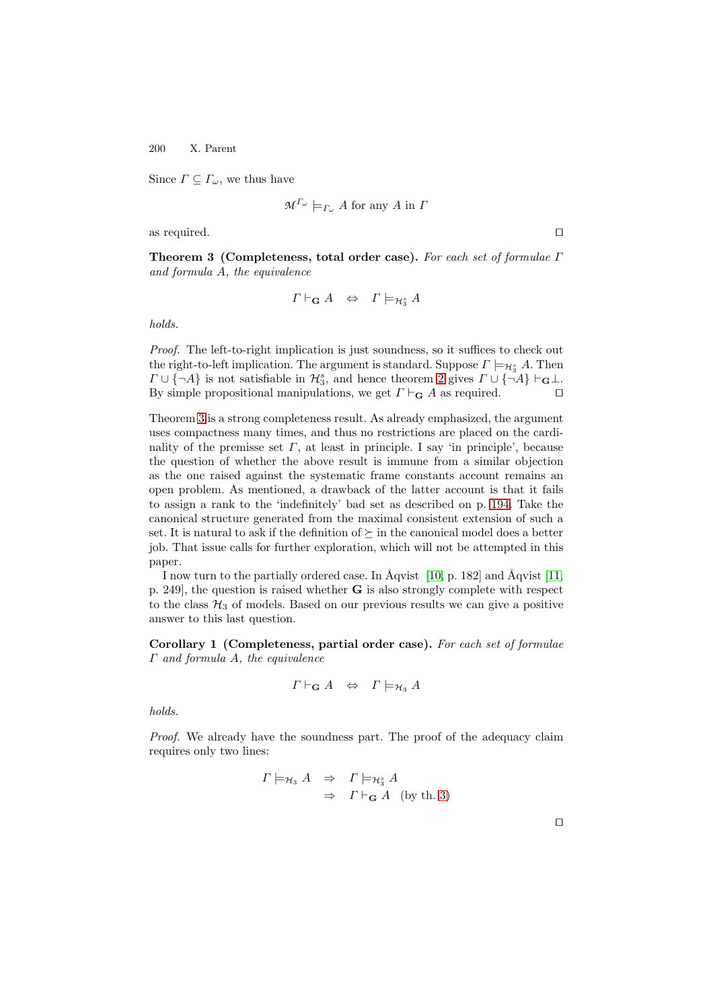Since  $\Gamma \subseteq \Gamma_\omega$ , we thus have

$$
\mathcal{M}^{\Gamma_{\omega}} \models_{\Gamma_{\omega}} A \text{ for any } A \text{ in } \Gamma
$$

<span id="page-11-0"></span>as required.  $\square$ 

**Theorem 3 (Completeness, total order case).** For each set of formulae Γ and formula A, the equivalence

$$
\Gamma \vdash_{\mathbf{G}} A \;\; \Leftrightarrow \;\; \Gamma \models_{\mathcal{H}_3^s} A
$$

holds.

Proof. The left-to-right implication is just soundness, so it suffices to check out the right-to-left implication. The argument is standard. Suppose  $\Gamma \models_{\mathcal{H}_3^s} A$ . Then  $\Gamma \cup \{\neg A\}$  is not satisfiable in  $\mathcal{H}_3^s$ , and hence theorem [2](#page-10-2) gives  $\Gamma \cup \{\neg A\} \vdash_{\mathbf{G}} \bot$ . By simple propositional manipulations, we get  $\Gamma \vdash_{\mathbf{G}} A$  as required.

Theorem [3](#page-11-0) is a strong completeness result. As already emphasized, the argument uses compactness many times, and thus no restrictions are placed on the cardinality of the premisse set  $\Gamma$ , at least in principle. I say 'in principle', because the question of whether the above result is immune from a similar objection as the one raised against the systematic frame constants account remains an open problem. As mentioned, a drawback of the latter account is that it fails to assign a rank to the 'indefinitely' bad set as described on p. [194.](#page-1-0) Take the canonical structure generated from the maximal consistent extension of such a set. It is natural to ask if the definition of  $\succeq$  in the canonical model does a better job. That issue calls for further exploration, which will not be attempted in this paper.

I now turn to the partially ordered case. In  $\tilde{A}$ qvist [\[10,](#page-13-3) p. 182] and  $\tilde{A}$ qvist [\[11,](#page-13-4) p. 249], the question is raised whether **G** is also strongly complete with respect to the class  $H_3$  of models. Based on our previous results we can give a positive answer to this last question.

**Corollary 1 (Completeness, partial order case).** For each set of formulae Γ and formula A, the equivalence

$$
\Gamma \vdash_{\mathbf{G}} A \;\; \Leftrightarrow \;\; \Gamma \models_{\mathcal{H}_3} A
$$

holds.

Proof. We already have the soundness part. The proof of the adequacy claim requires only two lines:

$$
\Gamma \models_{\mathcal{H}_3} A \Rightarrow \Gamma \models_{\mathcal{H}_3^s} A
$$
  

$$
\Rightarrow \Gamma \vdash_{\mathbf{G}} A \text{ (by th. 3)}
$$

 $\Box$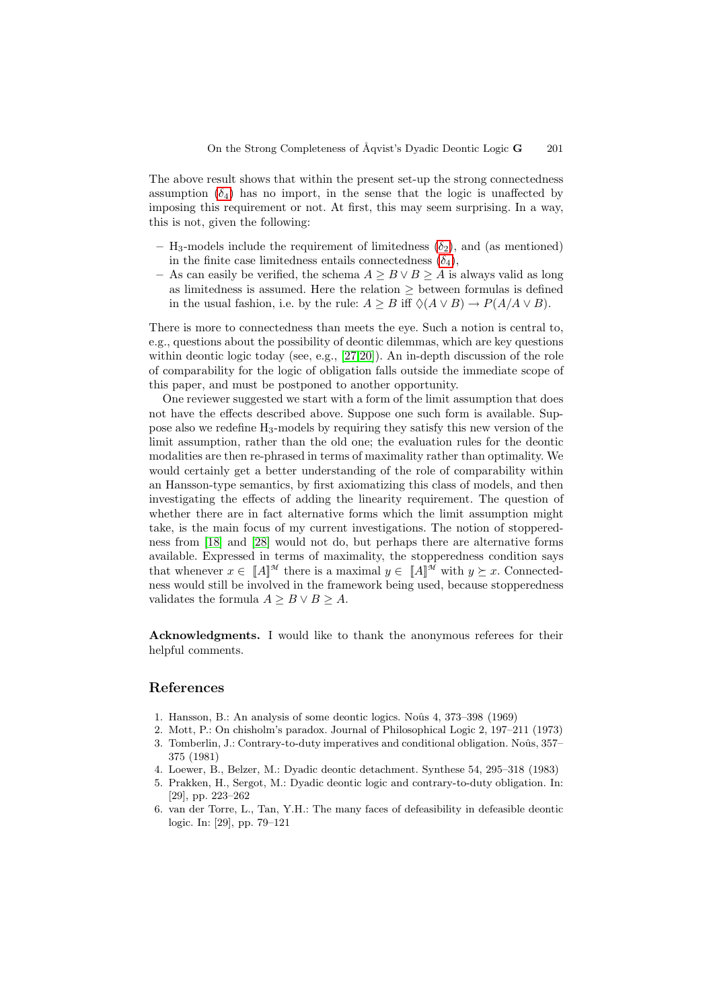The above result shows that within the present set-up the strong connectedness assumption  $(\delta_4)$  has no import, in the sense that the logic is unaffected by imposing this requirement or not. At first, this may seem surprising. In a way, this is not, given the following:

- $-$  H<sub>3</sub>-models include the requirement of limitedness  $(\delta_2)$ , and (as mentioned) in the finite case limitedness entails connectedness  $(\delta_4)$ ,
- As can easily be verified, the schema  $A \geq B \vee B \geq A$  is always valid as long as limitedness is assumed. Here the relation ≥ between formulas is defined in the usual fashion, i.e. by the rule:  $A \geq B$  iff  $\Diamond(A \lor B) \rightarrow P(A/A \lor B)$ .

There is more to connectedness than meets the eye. Such a notion is central to, e.g., questions about the possibility of deontic dilemmas, which are key questions within deontic logic today (see, e.g., [\[27](#page-13-20)[,20\]](#page-13-13)). An in-depth discussion of the role of comparability for the logic of obligation falls outside the immediate scope of this paper, and must be postponed to another opportunity.

One reviewer suggested we start with a form of the limit assumption that does not have the effects described above. Suppose one such form is available. Suppose also we redefine H3-models by requiring they satisfy this new version of the limit assumption, rather than the old one; the evaluation rules for the deontic modalities are then re-phrased in terms of maximality rather than optimality. We would certainly get a better understanding of the role of comparability within an Hansson-type semantics, by first axiomatizing this class of models, and then investigating the effects of adding the linearity requirement. The question of whether there are in fact alternative forms which the limit assumption might take, is the main focus of my current investigations. The notion of stopperedness from [\[18\]](#page-13-11) and [\[28\]](#page-13-21) would not do, but perhaps there are alternative forms available. Expressed in terms of maximality, the stopperedness condition says that whenever  $x \in [A]^{\mathcal{M}}$  there is a maximal  $y \in [A]^{\mathcal{M}}$  with  $y \succeq x$ . Connectedness would still be involved in the framework being used, because stopperedness validates the formula  $A \geq B \vee B \geq A$ .

**Acknowledgments.** I would like to thank the anonymous referees for their helpful comments.

### <span id="page-12-6"></span><span id="page-12-1"></span><span id="page-12-0"></span>**References**

- 1. Hansson, B.: An analysis of some deontic logics. Noûs 4, 373–398 (1969)
- <span id="page-12-2"></span>2. Mott, P.: On chisholm's paradox. Journal of Philosophical Logic 2, 197–211 (1973) 3. Tomberlin, J.: Contrary-to-duty imperatives and conditional obligation. Noûs, 357– 375 (1981)
- <span id="page-12-4"></span><span id="page-12-3"></span>4. Loewer, B., Belzer, M.: Dyadic deontic detachment. Synthese 54, 295–318 (1983)
- 5. Prakken, H., Sergot, M.: Dyadic deontic logic and contrary-to-duty obligation. In: [29], pp. 223–262
- <span id="page-12-5"></span>6. van der Torre, L., Tan, Y.H.: The many faces of defeasibility in defeasible deontic logic. In: [29], pp. 79–121